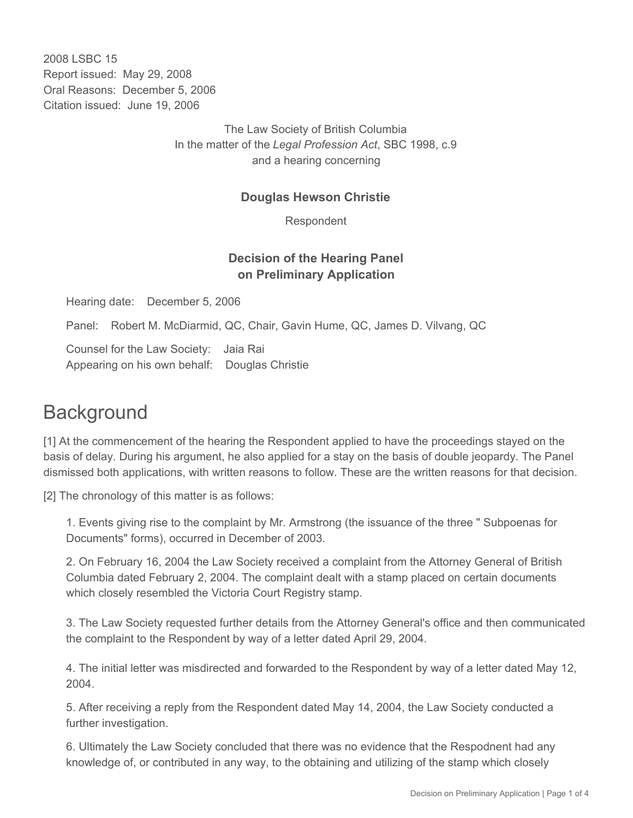2008 LSBC 15 Report issued: May 29, 2008 Oral Reasons: December 5, 2006 Citation issued: June 19, 2006

> The Law Society of British Columbia In the matter of the *Legal Profession Act*, SBC 1998, c.9 and a hearing concerning

## **Douglas Hewson Christie**

Respondent

## **Decision of the Hearing Panel on Preliminary Application**

Hearing date: December 5, 2006

Panel: Robert M. McDiarmid, QC, Chair, Gavin Hume, QC, James D. Vilvang, QC

Counsel for the Law Society: Jaia Rai Appearing on his own behalf: Douglas Christie

## **Background**

[1] At the commencement of the hearing the Respondent applied to have the proceedings stayed on the basis of delay. During his argument, he also applied for a stay on the basis of double jeopardy. The Panel dismissed both applications, with written reasons to follow. These are the written reasons for that decision.

[2] The chronology of this matter is as follows:

1. Events giving rise to the complaint by Mr. Armstrong (the issuance of the three " Subpoenas for Documents" forms), occurred in December of 2003.

2. On February 16, 2004 the Law Society received a complaint from the Attorney General of British Columbia dated February 2, 2004. The complaint dealt with a stamp placed on certain documents which closely resembled the Victoria Court Registry stamp.

3. The Law Society requested further details from the Attorney General's office and then communicated the complaint to the Respondent by way of a letter dated April 29, 2004.

4. The initial letter was misdirected and forwarded to the Respondent by way of a letter dated May 12, 2004.

5. After receiving a reply from the Respondent dated May 14, 2004, the Law Society conducted a further investigation.

6. Ultimately the Law Society concluded that there was no evidence that the Respodnent had any knowledge of, or contributed in any way, to the obtaining and utilizing of the stamp which closely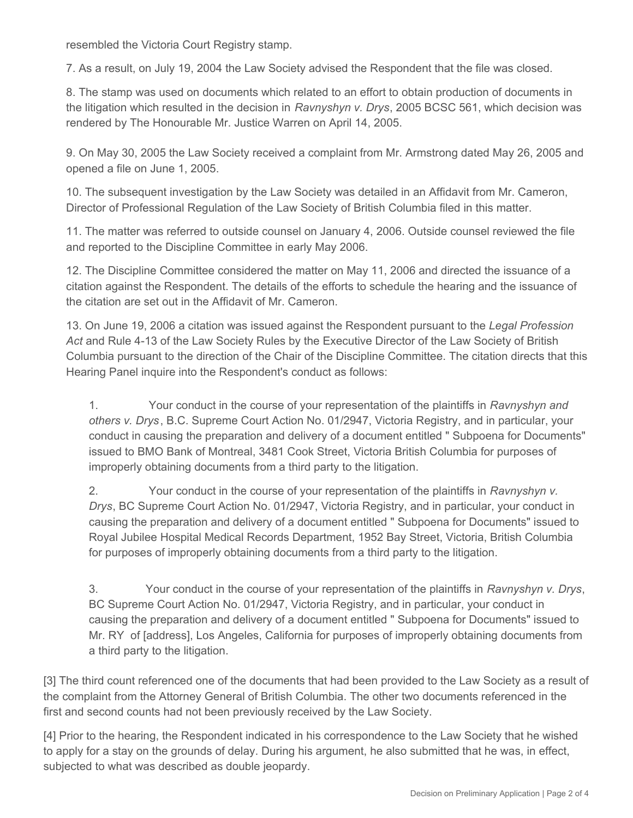resembled the Victoria Court Registry stamp.

7. As a result, on July 19, 2004 the Law Society advised the Respondent that the file was closed.

8. The stamp was used on documents which related to an effort to obtain production of documents in the litigation which resulted in the decision in *Ravnyshyn v. Drys*, 2005 BCSC 561, which decision was rendered by The Honourable Mr. Justice Warren on April 14, 2005.

9. On May 30, 2005 the Law Society received a complaint from Mr. Armstrong dated May 26, 2005 and opened a file on June 1, 2005.

10. The subsequent investigation by the Law Society was detailed in an Affidavit from Mr. Cameron, Director of Professional Regulation of the Law Society of British Columbia filed in this matter.

11. The matter was referred to outside counsel on January 4, 2006. Outside counsel reviewed the file and reported to the Discipline Committee in early May 2006.

12. The Discipline Committee considered the matter on May 11, 2006 and directed the issuance of a citation against the Respondent. The details of the efforts to schedule the hearing and the issuance of the citation are set out in the Affidavit of Mr. Cameron.

13. On June 19, 2006 a citation was issued against the Respondent pursuant to the *Legal Profession Act* and Rule 4-13 of the Law Society Rules by the Executive Director of the Law Society of British Columbia pursuant to the direction of the Chair of the Discipline Committee. The citation directs that this Hearing Panel inquire into the Respondent's conduct as follows:

1. Your conduct in the course of your representation of the plaintiffs in *Ravnyshyn and others v. Drys*, B.C. Supreme Court Action No. 01/2947, Victoria Registry, and in particular, your conduct in causing the preparation and delivery of a document entitled " Subpoena for Documents" issued to BMO Bank of Montreal, 3481 Cook Street, Victoria British Columbia for purposes of improperly obtaining documents from a third party to the litigation.

2. Your conduct in the course of your representation of the plaintiffs in *Ravnyshyn v. Drys*, BC Supreme Court Action No. 01/2947, Victoria Registry, and in particular, your conduct in causing the preparation and delivery of a document entitled " Subpoena for Documents" issued to Royal Jubilee Hospital Medical Records Department, 1952 Bay Street, Victoria, British Columbia for purposes of improperly obtaining documents from a third party to the litigation.

3. Your conduct in the course of your representation of the plaintiffs in *Ravnyshyn v. Drys*, BC Supreme Court Action No. 01/2947, Victoria Registry, and in particular, your conduct in causing the preparation and delivery of a document entitled " Subpoena for Documents" issued to Mr. RY of [address], Los Angeles, California for purposes of improperly obtaining documents from a third party to the litigation.

[3] The third count referenced one of the documents that had been provided to the Law Society as a result of the complaint from the Attorney General of British Columbia. The other two documents referenced in the first and second counts had not been previously received by the Law Society.

[4] Prior to the hearing, the Respondent indicated in his correspondence to the Law Society that he wished to apply for a stay on the grounds of delay. During his argument, he also submitted that he was, in effect, subjected to what was described as double jeopardy.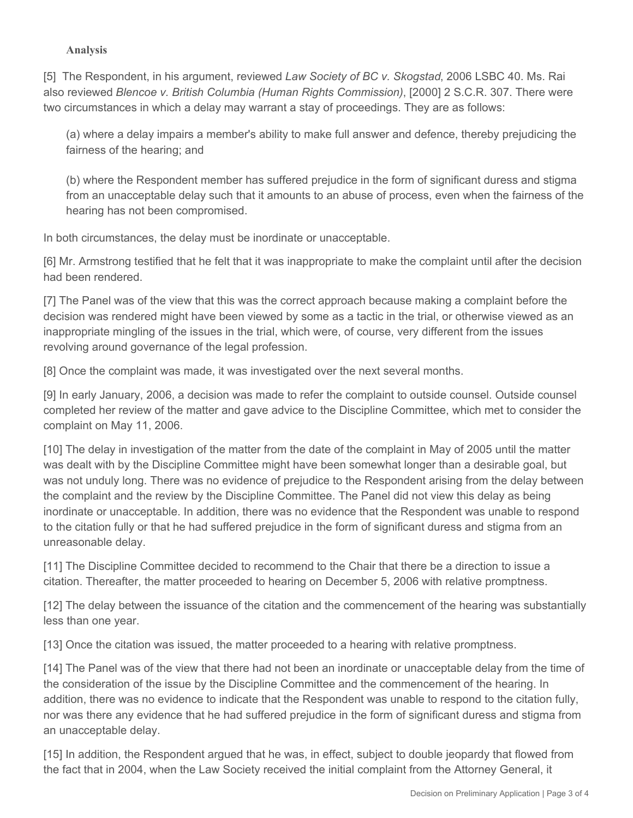## **Analysis**

[5] The Respondent, in his argument, reviewed *Law Society of BC v. Skogstad*, 2006 LSBC 40. Ms. Rai also reviewed *Blencoe v. British Columbia (Human Rights Commission)*, [2000] 2 S.C.R. 307. There were two circumstances in which a delay may warrant a stay of proceedings. They are as follows:

(a) where a delay impairs a member's ability to make full answer and defence, thereby prejudicing the fairness of the hearing; and

(b) where the Respondent member has suffered prejudice in the form of significant duress and stigma from an unacceptable delay such that it amounts to an abuse of process, even when the fairness of the hearing has not been compromised.

In both circumstances, the delay must be inordinate or unacceptable.

[6] Mr. Armstrong testified that he felt that it was inappropriate to make the complaint until after the decision had been rendered.

[7] The Panel was of the view that this was the correct approach because making a complaint before the decision was rendered might have been viewed by some as a tactic in the trial, or otherwise viewed as an inappropriate mingling of the issues in the trial, which were, of course, very different from the issues revolving around governance of the legal profession.

[8] Once the complaint was made, it was investigated over the next several months.

[9] In early January, 2006, a decision was made to refer the complaint to outside counsel. Outside counsel completed her review of the matter and gave advice to the Discipline Committee, which met to consider the complaint on May 11, 2006.

[10] The delay in investigation of the matter from the date of the complaint in May of 2005 until the matter was dealt with by the Discipline Committee might have been somewhat longer than a desirable goal, but was not unduly long. There was no evidence of prejudice to the Respondent arising from the delay between the complaint and the review by the Discipline Committee. The Panel did not view this delay as being inordinate or unacceptable. In addition, there was no evidence that the Respondent was unable to respond to the citation fully or that he had suffered prejudice in the form of significant duress and stigma from an unreasonable delay.

[11] The Discipline Committee decided to recommend to the Chair that there be a direction to issue a citation. Thereafter, the matter proceeded to hearing on December 5, 2006 with relative promptness.

[12] The delay between the issuance of the citation and the commencement of the hearing was substantially less than one year.

[13] Once the citation was issued, the matter proceeded to a hearing with relative promptness.

[14] The Panel was of the view that there had not been an inordinate or unacceptable delay from the time of the consideration of the issue by the Discipline Committee and the commencement of the hearing. In addition, there was no evidence to indicate that the Respondent was unable to respond to the citation fully, nor was there any evidence that he had suffered prejudice in the form of significant duress and stigma from an unacceptable delay.

[15] In addition, the Respondent argued that he was, in effect, subject to double jeopardy that flowed from the fact that in 2004, when the Law Society received the initial complaint from the Attorney General, it